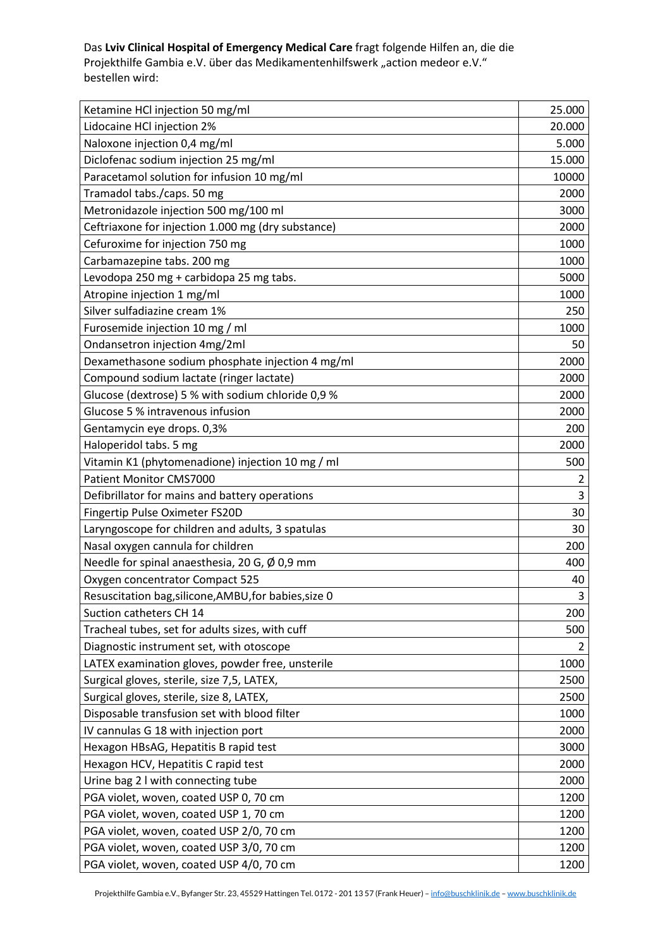Das **Lviv Clinical Hospital of Emergency Medical Care** fragt folgende Hilfen an, die die Projekthilfe Gambia e.V. über das Medikamentenhilfswerk "action medeor e.V." bestellen wird:

| Ketamine HCl injection 50 mg/ml                       | 25.000 |
|-------------------------------------------------------|--------|
| Lidocaine HCl injection 2%                            | 20.000 |
| Naloxone injection 0,4 mg/ml                          | 5.000  |
| Diclofenac sodium injection 25 mg/ml                  | 15.000 |
| Paracetamol solution for infusion 10 mg/ml            | 10000  |
| Tramadol tabs./caps. 50 mg                            | 2000   |
| Metronidazole injection 500 mg/100 ml                 | 3000   |
| Ceftriaxone for injection 1.000 mg (dry substance)    | 2000   |
| Cefuroxime for injection 750 mg                       | 1000   |
| Carbamazepine tabs. 200 mg                            | 1000   |
| Levodopa 250 mg + carbidopa 25 mg tabs.               | 5000   |
| Atropine injection 1 mg/ml                            | 1000   |
| Silver sulfadiazine cream 1%                          | 250    |
| Furosemide injection 10 mg / ml                       | 1000   |
| Ondansetron injection 4mg/2ml                         | 50     |
| Dexamethasone sodium phosphate injection 4 mg/ml      | 2000   |
| Compound sodium lactate (ringer lactate)              | 2000   |
| Glucose (dextrose) 5 % with sodium chloride 0,9 %     | 2000   |
| Glucose 5 % intravenous infusion                      | 2000   |
| Gentamycin eye drops. 0,3%                            | 200    |
| Haloperidol tabs. 5 mg                                | 2000   |
| Vitamin K1 (phytomenadione) injection 10 mg / ml      | 500    |
| Patient Monitor CMS7000                               | 2      |
| Defibrillator for mains and battery operations        | 3      |
| Fingertip Pulse Oximeter FS20D                        | 30     |
| Laryngoscope for children and adults, 3 spatulas      | 30     |
| Nasal oxygen cannula for children                     | 200    |
| Needle for spinal anaesthesia, 20 G, Ø 0,9 mm         | 400    |
| Oxygen concentrator Compact 525                       | 40     |
| Resuscitation bag, silicone, AMBU, for babies, size 0 | 3      |
| Suction catheters CH 14                               | 200    |
| Tracheal tubes, set for adults sizes, with cuff       | 500    |
| Diagnostic instrument set, with otoscope              | 2      |
| LATEX examination gloves, powder free, unsterile      | 1000   |
| Surgical gloves, sterile, size 7,5, LATEX,            | 2500   |
| Surgical gloves, sterile, size 8, LATEX,              | 2500   |
| Disposable transfusion set with blood filter          | 1000   |
| IV cannulas G 18 with injection port                  | 2000   |
| Hexagon HBsAG, Hepatitis B rapid test                 | 3000   |
| Hexagon HCV, Hepatitis C rapid test                   | 2000   |
| Urine bag 2 I with connecting tube                    | 2000   |
| PGA violet, woven, coated USP 0, 70 cm                | 1200   |
| PGA violet, woven, coated USP 1, 70 cm                | 1200   |
| PGA violet, woven, coated USP 2/0, 70 cm              | 1200   |
| PGA violet, woven, coated USP 3/0, 70 cm              | 1200   |
| PGA violet, woven, coated USP 4/0, 70 cm              | 1200   |

Projekthilfe Gambia e.V., Byfanger Str. 23, 45529 Hattingen Tel. 0172 - 201 13 57 (Frank Heuer) - info@buschklinik.de - www.buschklinik.de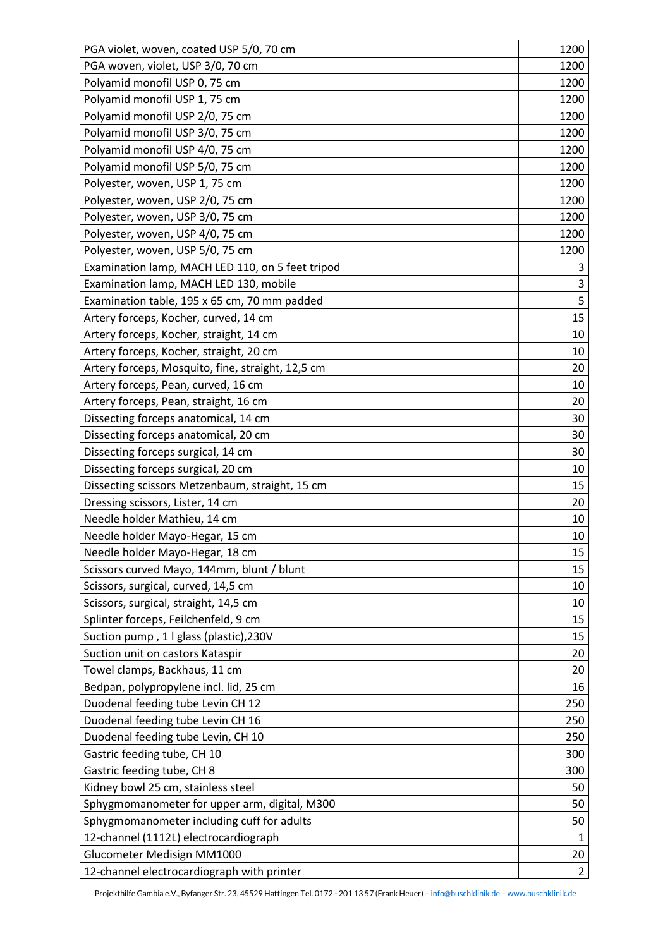| PGA violet, woven, coated USP 5/0, 70 cm          | 1200           |
|---------------------------------------------------|----------------|
| PGA woven, violet, USP 3/0, 70 cm                 | 1200           |
| Polyamid monofil USP 0, 75 cm                     | 1200           |
| Polyamid monofil USP 1, 75 cm                     | 1200           |
| Polyamid monofil USP 2/0, 75 cm                   | 1200           |
| Polyamid monofil USP 3/0, 75 cm                   | 1200           |
| Polyamid monofil USP 4/0, 75 cm                   | 1200           |
| Polyamid monofil USP 5/0, 75 cm                   | 1200           |
| Polyester, woven, USP 1, 75 cm                    | 1200           |
| Polyester, woven, USP 2/0, 75 cm                  | 1200           |
| Polyester, woven, USP 3/0, 75 cm                  | 1200           |
| Polyester, woven, USP 4/0, 75 cm                  | 1200           |
| Polyester, woven, USP 5/0, 75 cm                  | 1200           |
| Examination lamp, MACH LED 110, on 5 feet tripod  | 3              |
| Examination lamp, MACH LED 130, mobile            | 3              |
| Examination table, 195 x 65 cm, 70 mm padded      | 5              |
| Artery forceps, Kocher, curved, 14 cm             | 15             |
| Artery forceps, Kocher, straight, 14 cm           | 10             |
| Artery forceps, Kocher, straight, 20 cm           | 10             |
| Artery forceps, Mosquito, fine, straight, 12,5 cm | 20             |
| Artery forceps, Pean, curved, 16 cm               | 10             |
| Artery forceps, Pean, straight, 16 cm             | 20             |
| Dissecting forceps anatomical, 14 cm              | 30             |
| Dissecting forceps anatomical, 20 cm              | 30             |
| Dissecting forceps surgical, 14 cm                | 30             |
| Dissecting forceps surgical, 20 cm                | 10             |
| Dissecting scissors Metzenbaum, straight, 15 cm   | 15             |
| Dressing scissors, Lister, 14 cm                  | 20             |
| Needle holder Mathieu, 14 cm                      | 10             |
| Needle holder Mayo-Hegar, 15 cm                   | 10             |
| Needle holder Mayo-Hegar, 18 cm                   | 15             |
| Scissors curved Mayo, 144mm, blunt / blunt        | 15             |
| Scissors, surgical, curved, 14,5 cm               | 10             |
| Scissors, surgical, straight, 14,5 cm             | 10             |
| Splinter forceps, Feilchenfeld, 9 cm              | 15             |
| Suction pump, 1 I glass (plastic), 230V           | 15             |
| Suction unit on castors Kataspir                  | 20             |
| Towel clamps, Backhaus, 11 cm                     | 20             |
| Bedpan, polypropylene incl. lid, 25 cm            | 16             |
| Duodenal feeding tube Levin CH 12                 | 250            |
| Duodenal feeding tube Levin CH 16                 | 250            |
| Duodenal feeding tube Levin, CH 10                | 250            |
| Gastric feeding tube, CH 10                       | 300            |
| Gastric feeding tube, CH 8                        | 300            |
| Kidney bowl 25 cm, stainless steel                | 50             |
| Sphygmomanometer for upper arm, digital, M300     | 50             |
| Sphygmomanometer including cuff for adults        | 50             |
| 12-channel (1112L) electrocardiograph             | 1              |
| Glucometer Medisign MM1000                        | 20             |
| 12-channel electrocardiograph with printer        | $\overline{2}$ |

Projekthilfe Gambia e.V., Byfanger Str. 23, 45529 Hattingen Tel. 0172 - 201 13 57 (Frank Heuer) - info@buschklinik.de - www.buschklinik.de